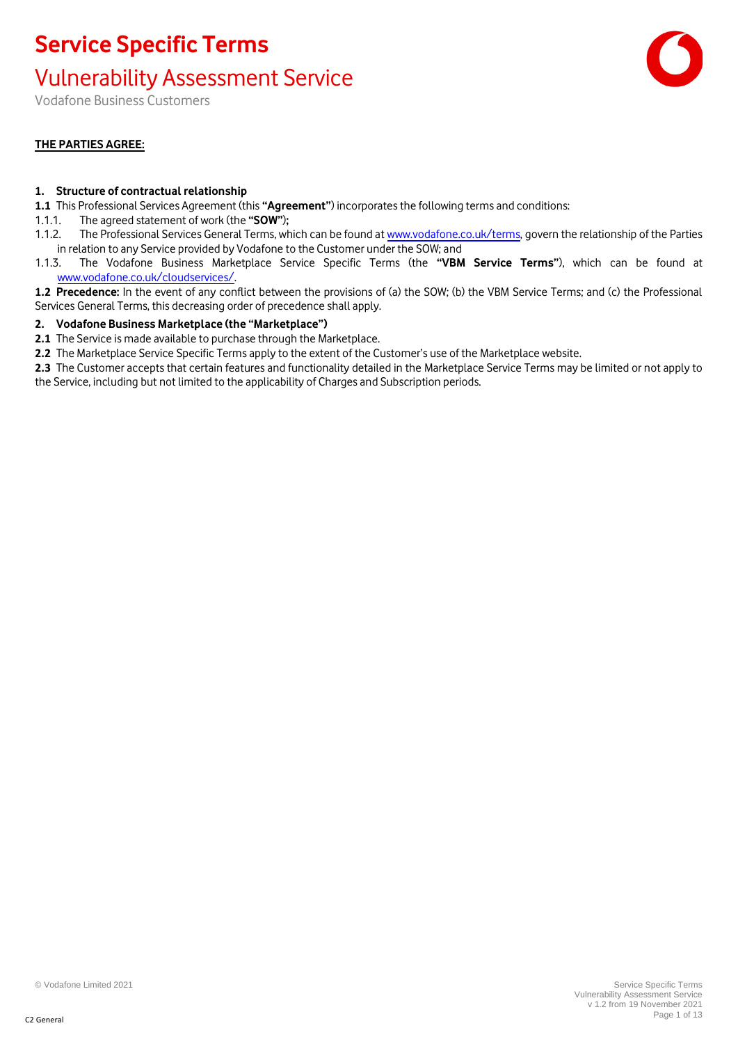#### Vulnerability Assessment Service

Vodafone Business Customers

#### **THE PARTIES AGREE:**

#### **1. Structure of contractual relationship**

- **1.1** This Professional Services Agreement (this **"Agreement"**) incorporates the following terms and conditions:
- 1.1.1. The agreed statement of work (the **"SOW"**)**;**
- 1.1.2. The Professional Services General Terms, which can be found a[t www.vodafone.co.uk/terms,](http://www.vodafone.co.uk/terms) govern the relationship of the Parties in relation to any Service provided by Vodafone to the Customer under the SOW; and
- 1.1.3. The Vodafone Business Marketplace Service Specific Terms (the **"VBM Service Terms"**), which can be found at [www.vodafone.co.uk/cloudservices/.](http://www.vodafone.co.uk/cloudservices/)
- **1.2 Precedence:** In the event of any conflict between the provisions of (a) the SOW; (b) the VBM Service Terms; and (c) the Professional Services General Terms, this decreasing order of precedence shall apply.

#### **2. Vodafone Business Marketplace (the "Marketplace")**

- **2.1** The Service is made available to purchase through the Marketplace.
- **2.2** The Marketplace Service Specific Terms apply to the extent of the Customer's use of the Marketplace website.
- **2.3** The Customer accepts that certain features and functionality detailed in the Marketplace Service Terms may be limited or not apply to the Service, including but not limited to the applicability of Charges and Subscription periods.

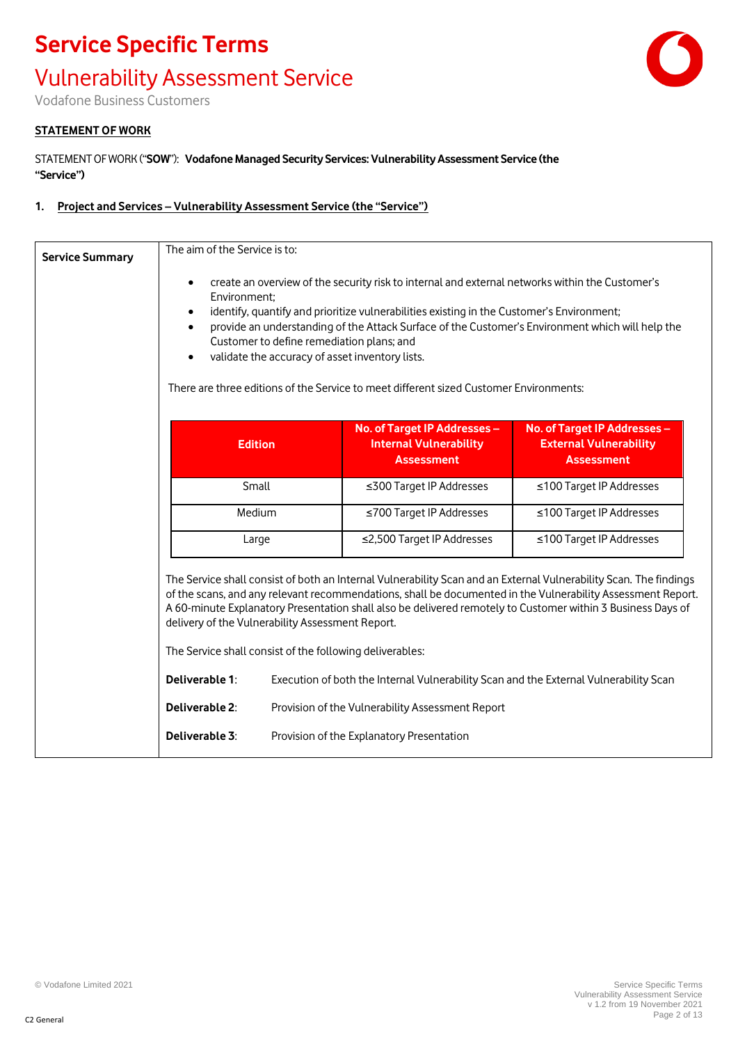# **Service Specific Terms** Vulnerability Assessment Service

Vodafone Business Customers

#### **STATEMENT OF WORK**

STATEMENT OF WORK ("**SOW**"): **Vodafone Managed Security Services: Vulnerability Assessment Service (the "Service")**

#### **1. Project and Services – Vulnerability Assessment Service (the "Service")**

|                                                  | The aim of the Service is to:                                                                |                                                                                                                                                                                              |                                                                                                                                                                                                                                  |
|--------------------------------------------------|----------------------------------------------------------------------------------------------|----------------------------------------------------------------------------------------------------------------------------------------------------------------------------------------------|----------------------------------------------------------------------------------------------------------------------------------------------------------------------------------------------------------------------------------|
| $\bullet$<br>Environment;<br>٠<br>$\bullet$      | Customer to define remediation plans; and<br>validate the accuracy of asset inventory lists. | create an overview of the security risk to internal and external networks within the Customer's<br>identify, quantify and prioritize vulnerabilities existing in the Customer's Environment; | provide an understanding of the Attack Surface of the Customer's Environment which will help the                                                                                                                                 |
|                                                  |                                                                                              | There are three editions of the Service to meet different sized Customer Environments:                                                                                                       |                                                                                                                                                                                                                                  |
|                                                  | <b>Edition</b>                                                                               | No. of Target IP Addresses -<br><b>Internal Vulnerability</b><br><b>Assessment</b>                                                                                                           | No. of Target IP Addresses -<br><b>External Vulnerability</b><br><b>Assessment</b>                                                                                                                                               |
|                                                  | Small                                                                                        | ≤300 Target IP Addresses                                                                                                                                                                     | ≤100 Target IP Addresses                                                                                                                                                                                                         |
|                                                  | Medium                                                                                       | ≤700 Target IP Addresses                                                                                                                                                                     | ≤100 Target IP Addresses                                                                                                                                                                                                         |
|                                                  | Large                                                                                        | ≤2,500 Target IP Addresses                                                                                                                                                                   | ≤100 Target IP Addresses                                                                                                                                                                                                         |
|                                                  |                                                                                              | A 60-minute Explanatory Presentation shall also be delivered remotely to Customer within 3 Business Days of                                                                                  | The Service shall consist of both an Internal Vulnerability Scan and an External Vulnerability Scan. The findings<br>of the scans, and any relevant recommendations, shall be documented in the Vulnerability Assessment Report. |
| delivery of the Vulnerability Assessment Report. |                                                                                              |                                                                                                                                                                                              |                                                                                                                                                                                                                                  |
|                                                  | The Service shall consist of the following deliverables:                                     |                                                                                                                                                                                              |                                                                                                                                                                                                                                  |
| Deliverable 1:                                   |                                                                                              | Execution of both the Internal Vulnerability Scan and the External Vulnerability Scan                                                                                                        |                                                                                                                                                                                                                                  |
| Deliverable 2:                                   |                                                                                              | Provision of the Vulnerability Assessment Report                                                                                                                                             |                                                                                                                                                                                                                                  |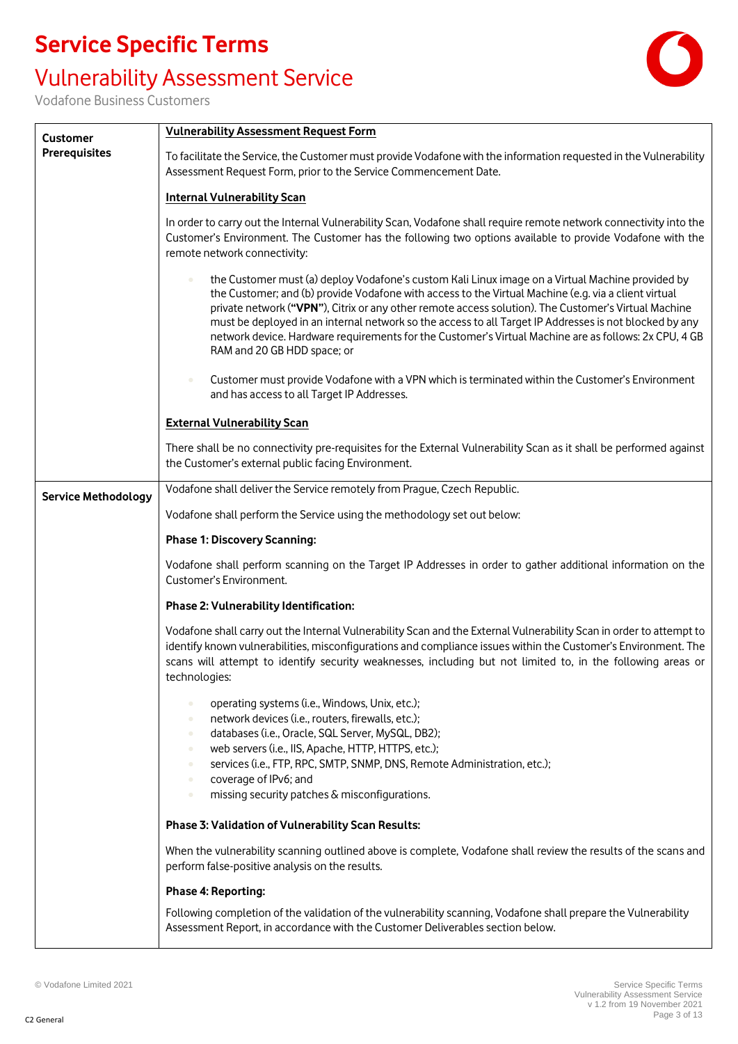#### Vulnerability Assessment Service



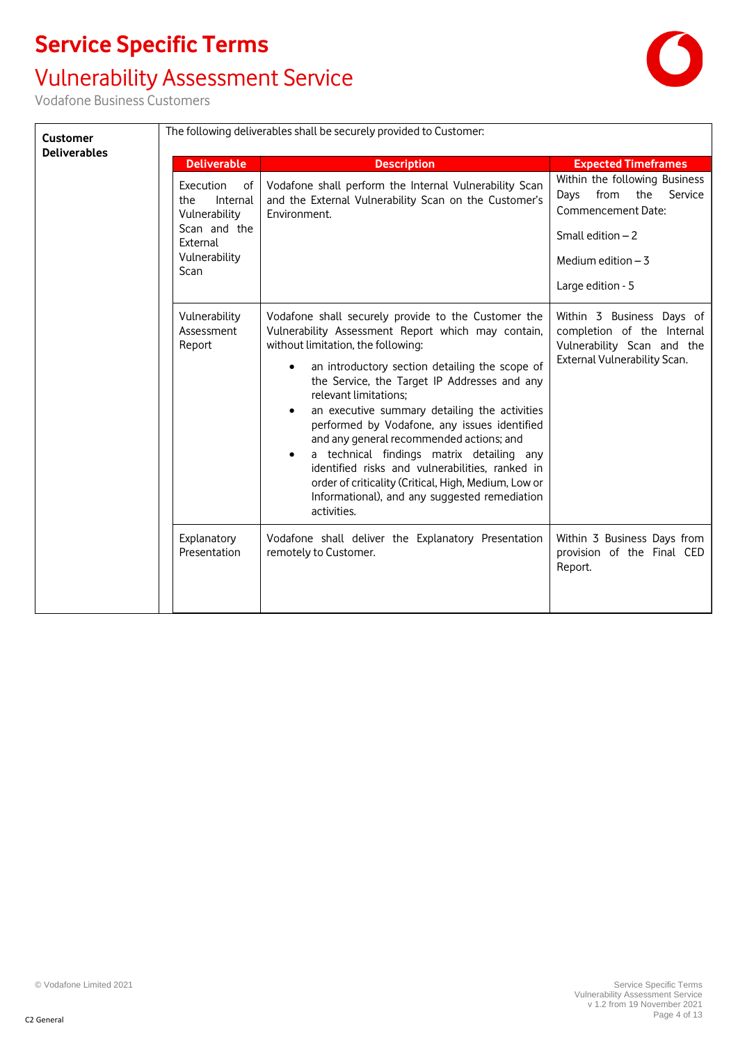#### Vulnerability Assessment Service

| <b>Customer</b><br><b>Deliverables</b> | <b>Deliverable</b>                                                                                              | The following deliverables shall be securely provided to Customer:<br><b>Description</b>                                                                                                                                                                                                                                                                                                                                                                                                                                                                                                                                                                               | <b>Expected Timeframes</b>                                                                                                                              |
|----------------------------------------|-----------------------------------------------------------------------------------------------------------------|------------------------------------------------------------------------------------------------------------------------------------------------------------------------------------------------------------------------------------------------------------------------------------------------------------------------------------------------------------------------------------------------------------------------------------------------------------------------------------------------------------------------------------------------------------------------------------------------------------------------------------------------------------------------|---------------------------------------------------------------------------------------------------------------------------------------------------------|
|                                        | Execution<br>οf<br>Internal<br>the<br>Vulnerability<br>Scan and the<br>External<br>Vulnerability<br><b>Scan</b> | Vodafone shall perform the Internal Vulnerability Scan<br>and the External Vulnerability Scan on the Customer's<br>Environment.                                                                                                                                                                                                                                                                                                                                                                                                                                                                                                                                        | Within the following Business<br>from<br>Service<br>Days<br>the<br>Commencement Date:<br>Small edition $-2$<br>Medium edition $-3$<br>Large edition - 5 |
|                                        | Vulnerability<br>Assessment<br>Report                                                                           | Vodafone shall securely provide to the Customer the<br>Vulnerability Assessment Report which may contain,<br>without limitation, the following:<br>an introductory section detailing the scope of<br>$\bullet$<br>the Service, the Target IP Addresses and any<br>relevant limitations;<br>an executive summary detailing the activities<br>٠<br>performed by Vodafone, any issues identified<br>and any general recommended actions; and<br>a technical findings matrix detailing any<br>٠<br>identified risks and vulnerabilities, ranked in<br>order of criticality (Critical, High, Medium, Low or<br>Informational), and any suggested remediation<br>activities. | Within 3 Business Days of<br>completion of the Internal<br>Vulnerability Scan and the<br>External Vulnerability Scan.                                   |
|                                        | Explanatory<br>Presentation                                                                                     | Vodafone shall deliver the Explanatory Presentation<br>remotely to Customer.                                                                                                                                                                                                                                                                                                                                                                                                                                                                                                                                                                                           | Within 3 Business Days from<br>provision of the Final CED<br>Report.                                                                                    |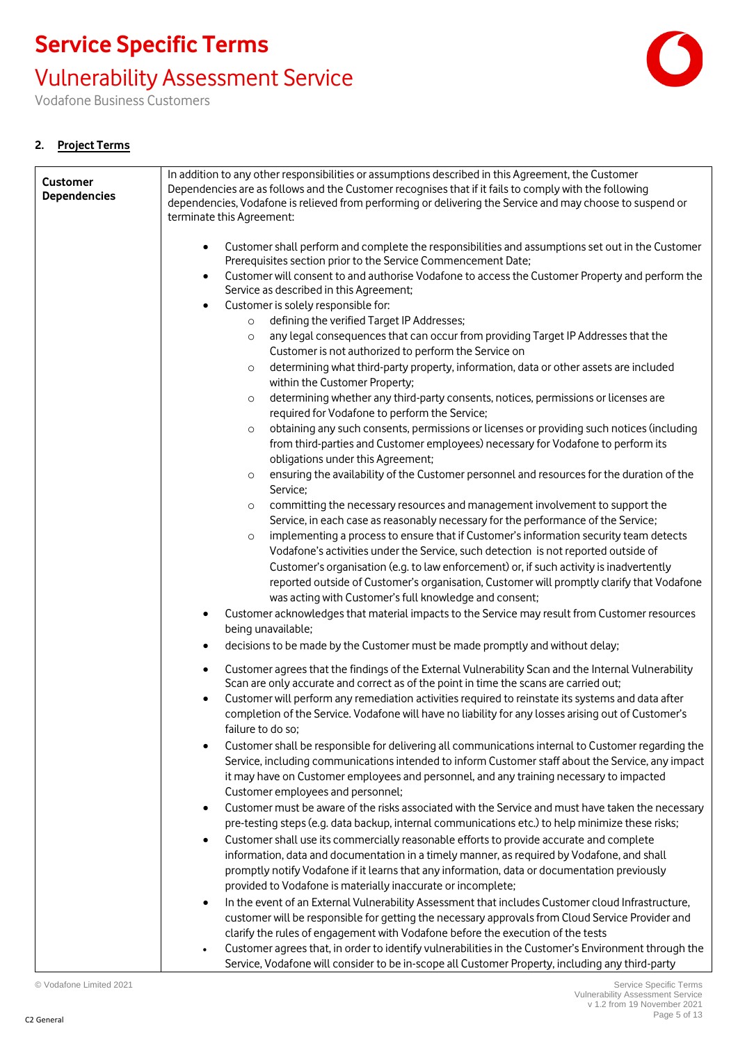Vulnerability Assessment Service

Vodafone Business Customers

#### **2. Project Terms**

| <b>Customer</b><br><b>Dependencies</b> | In addition to any other responsibilities or assumptions described in this Agreement, the Customer<br>Dependencies are as follows and the Customer recognises that if it fails to comply with the following<br>dependencies, Vodafone is relieved from performing or delivering the Service and may choose to suspend or<br>terminate this Agreement:              |
|----------------------------------------|--------------------------------------------------------------------------------------------------------------------------------------------------------------------------------------------------------------------------------------------------------------------------------------------------------------------------------------------------------------------|
|                                        | Customer shall perform and complete the responsibilities and assumptions set out in the Customer<br>Prerequisites section prior to the Service Commencement Date;                                                                                                                                                                                                  |
|                                        | Customer will consent to and authorise Vodafone to access the Customer Property and perform the<br>$\bullet$<br>Service as described in this Agreement;                                                                                                                                                                                                            |
|                                        | Customer is solely responsible for:<br>$\bullet$                                                                                                                                                                                                                                                                                                                   |
|                                        | defining the verified Target IP Addresses;<br>$\circ$<br>any legal consequences that can occur from providing Target IP Addresses that the                                                                                                                                                                                                                         |
|                                        | $\circ$<br>Customer is not authorized to perform the Service on                                                                                                                                                                                                                                                                                                    |
|                                        | determining what third-party property, information, data or other assets are included<br>$\circ$<br>within the Customer Property;                                                                                                                                                                                                                                  |
|                                        | determining whether any third-party consents, notices, permissions or licenses are<br>$\circ$<br>required for Vodafone to perform the Service;                                                                                                                                                                                                                     |
|                                        | obtaining any such consents, permissions or licenses or providing such notices (including<br>$\circ$                                                                                                                                                                                                                                                               |
|                                        | from third-parties and Customer employees) necessary for Vodafone to perform its<br>obligations under this Agreement;                                                                                                                                                                                                                                              |
|                                        | ensuring the availability of the Customer personnel and resources for the duration of the<br>$\circ$<br>Service;                                                                                                                                                                                                                                                   |
|                                        | committing the necessary resources and management involvement to support the<br>$\circ$                                                                                                                                                                                                                                                                            |
|                                        | Service, in each case as reasonably necessary for the performance of the Service;                                                                                                                                                                                                                                                                                  |
|                                        | implementing a process to ensure that if Customer's information security team detects<br>$\circ$<br>Vodafone's activities under the Service, such detection is not reported outside of                                                                                                                                                                             |
|                                        | Customer's organisation (e.g. to law enforcement) or, if such activity is inadvertently                                                                                                                                                                                                                                                                            |
|                                        | reported outside of Customer's organisation, Customer will promptly clarify that Vodafone<br>was acting with Customer's full knowledge and consent;                                                                                                                                                                                                                |
|                                        | Customer acknowledges that material impacts to the Service may result from Customer resources<br>$\bullet$                                                                                                                                                                                                                                                         |
|                                        | being unavailable;                                                                                                                                                                                                                                                                                                                                                 |
|                                        | decisions to be made by the Customer must be made promptly and without delay;<br>$\bullet$                                                                                                                                                                                                                                                                         |
|                                        | Customer agrees that the findings of the External Vulnerability Scan and the Internal Vulnerability<br>$\bullet$<br>Scan are only accurate and correct as of the point in time the scans are carried out;                                                                                                                                                          |
|                                        | Customer will perform any remediation activities required to reinstate its systems and data after<br>completion of the Service. Vodafone will have no liability for any losses arising out of Customer's<br>failure to do so;                                                                                                                                      |
|                                        | Customer shall be responsible for delivering all communications internal to Customer regarding the<br>Service, including communications intended to inform Customer staff about the Service, any impact<br>it may have on Customer employees and personnel, and any training necessary to impacted<br>Customer employees and personnel;                            |
|                                        | Customer must be aware of the risks associated with the Service and must have taken the necessary<br>$\bullet$<br>pre-testing steps (e.g. data backup, internal communications etc.) to help minimize these risks;                                                                                                                                                 |
|                                        | Customer shall use its commercially reasonable efforts to provide accurate and complete<br>$\bullet$<br>information, data and documentation in a timely manner, as required by Vodafone, and shall<br>promptly notify Vodafone if it learns that any information, data or documentation previously<br>provided to Vodafone is materially inaccurate or incomplete; |
|                                        | In the event of an External Vulnerability Assessment that includes Customer cloud Infrastructure,<br>$\bullet$                                                                                                                                                                                                                                                     |
|                                        | customer will be responsible for getting the necessary approvals from Cloud Service Provider and                                                                                                                                                                                                                                                                   |
|                                        | clarify the rules of engagement with Vodafone before the execution of the tests                                                                                                                                                                                                                                                                                    |
|                                        | Customer agrees that, in order to identify vulnerabilities in the Customer's Environment through the                                                                                                                                                                                                                                                               |
|                                        | Service, Vodafone will consider to be in-scope all Customer Property, including any third-party                                                                                                                                                                                                                                                                    |

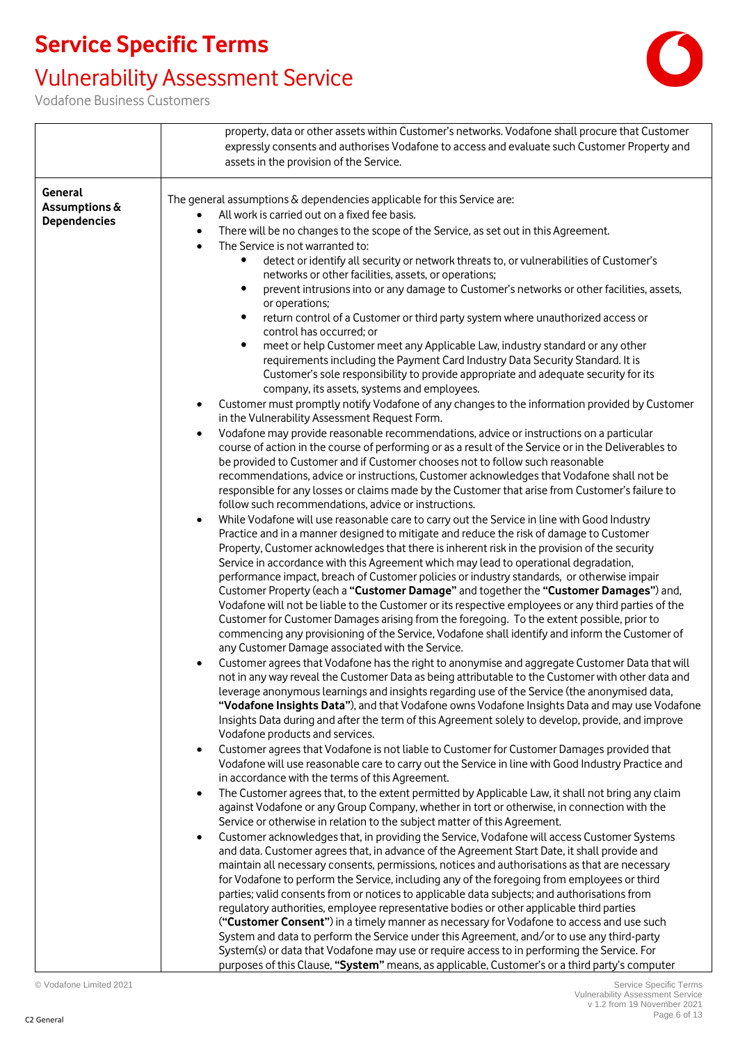## Vulnerability Assessment Service



|                     | property, data or other assets within Customer's networks. Vodafone shall procure that Customer                                                         |
|---------------------|---------------------------------------------------------------------------------------------------------------------------------------------------------|
|                     | expressly consents and authorises Vodafone to access and evaluate such Customer Property and                                                            |
|                     | assets in the provision of the Service.                                                                                                                 |
|                     |                                                                                                                                                         |
| General             |                                                                                                                                                         |
| Assumptions &       | The general assumptions & dependencies applicable for this Service are:                                                                                 |
| <b>Dependencies</b> | All work is carried out on a fixed fee basis.                                                                                                           |
|                     | There will be no changes to the scope of the Service, as set out in this Agreement.                                                                     |
|                     | The Service is not warranted to:<br>$\bullet$                                                                                                           |
|                     | detect or identify all security or network threats to, or vulnerabilities of Customer's                                                                 |
|                     | networks or other facilities, assets, or operations;                                                                                                    |
|                     | prevent intrusions into or any damage to Customer's networks or other facilities, assets,                                                               |
|                     | or operations;                                                                                                                                          |
|                     | return control of a Customer or third party system where unauthorized access or<br>$\bullet$                                                            |
|                     | control has occurred; or                                                                                                                                |
|                     | meet or help Customer meet any Applicable Law, industry standard or any other<br>$\bullet$                                                              |
|                     | requirements including the Payment Card Industry Data Security Standard. It is                                                                          |
|                     | Customer's sole responsibility to provide appropriate and adequate security for its                                                                     |
|                     | company, its assets, systems and employees.                                                                                                             |
|                     | Customer must promptly notify Vodafone of any changes to the information provided by Customer                                                           |
|                     | in the Vulnerability Assessment Request Form.                                                                                                           |
|                     | Vodafone may provide reasonable recommendations, advice or instructions on a particular<br>$\bullet$                                                    |
|                     | course of action in the course of performing or as a result of the Service or in the Deliverables to                                                    |
|                     | be provided to Customer and if Customer chooses not to follow such reasonable                                                                           |
|                     | recommendations, advice or instructions, Customer acknowledges that Vodafone shall not be                                                               |
|                     | responsible for any losses or claims made by the Customer that arise from Customer's failure to<br>follow such recommendations, advice or instructions. |
|                     | While Vodafone will use reasonable care to carry out the Service in line with Good Industry                                                             |
|                     | Practice and in a manner designed to mitigate and reduce the risk of damage to Customer                                                                 |
|                     | Property, Customer acknowledges that there is inherent risk in the provision of the security                                                            |
|                     | Service in accordance with this Agreement which may lead to operational degradation,                                                                    |
|                     | performance impact, breach of Customer policies or industry standards, or otherwise impair                                                              |
|                     | Customer Property (each a "Customer Damage" and together the "Customer Damages") and,                                                                   |
|                     | Vodafone will not be liable to the Customer or its respective employees or any third parties of the                                                     |
|                     | Customer for Customer Damages arising from the foregoing. To the extent possible, prior to                                                              |
|                     | commencing any provisioning of the Service, Vodafone shall identify and inform the Customer of                                                          |
|                     | any Customer Damage associated with the Service.                                                                                                        |
|                     | Customer agrees that Vodafone has the right to anonymise and aggregate Customer Data that will                                                          |
|                     | not in any way reveal the Customer Data as being attributable to the Customer with other data and                                                       |
|                     | leverage anonymous learnings and insights regarding use of the Service (the anonymised data,                                                            |
|                     | "Vodafone Insights Data"), and that Vodafone owns Vodafone Insights Data and may use Vodafone                                                           |
|                     | Insights Data during and after the term of this Agreement solely to develop, provide, and improve                                                       |
|                     | Vodafone products and services.                                                                                                                         |
|                     | Customer agrees that Vodafone is not liable to Customer for Customer Damages provided that                                                              |
|                     | Vodafone will use reasonable care to carry out the Service in line with Good Industry Practice and                                                      |
|                     | in accordance with the terms of this Agreement.                                                                                                         |
|                     | The Customer agrees that, to the extent permitted by Applicable Law, it shall not bring any claim<br>$\bullet$                                          |
|                     | against Vodafone or any Group Company, whether in tort or otherwise, in connection with the                                                             |
|                     | Service or otherwise in relation to the subject matter of this Agreement.                                                                               |
|                     | Customer acknowledges that, in providing the Service, Vodafone will access Customer Systems<br>$\bullet$                                                |
|                     | and data. Customer agrees that, in advance of the Agreement Start Date, it shall provide and                                                            |
|                     | maintain all necessary consents, permissions, notices and authorisations as that are necessary                                                          |
|                     | for Vodafone to perform the Service, including any of the foregoing from employees or third                                                             |
|                     | parties; valid consents from or notices to applicable data subjects; and authorisations from                                                            |
|                     | regulatory authorities, employee representative bodies or other applicable third parties                                                                |
|                     | ("Customer Consent") in a timely manner as necessary for Vodafone to access and use such                                                                |
|                     | System and data to perform the Service under this Agreement, and/or to use any third-party                                                              |
|                     | System(s) or data that Vodafone may use or require access to in performing the Service. For                                                             |
|                     | purposes of this Clause, "System" means, as applicable, Customer's or a third party's computer                                                          |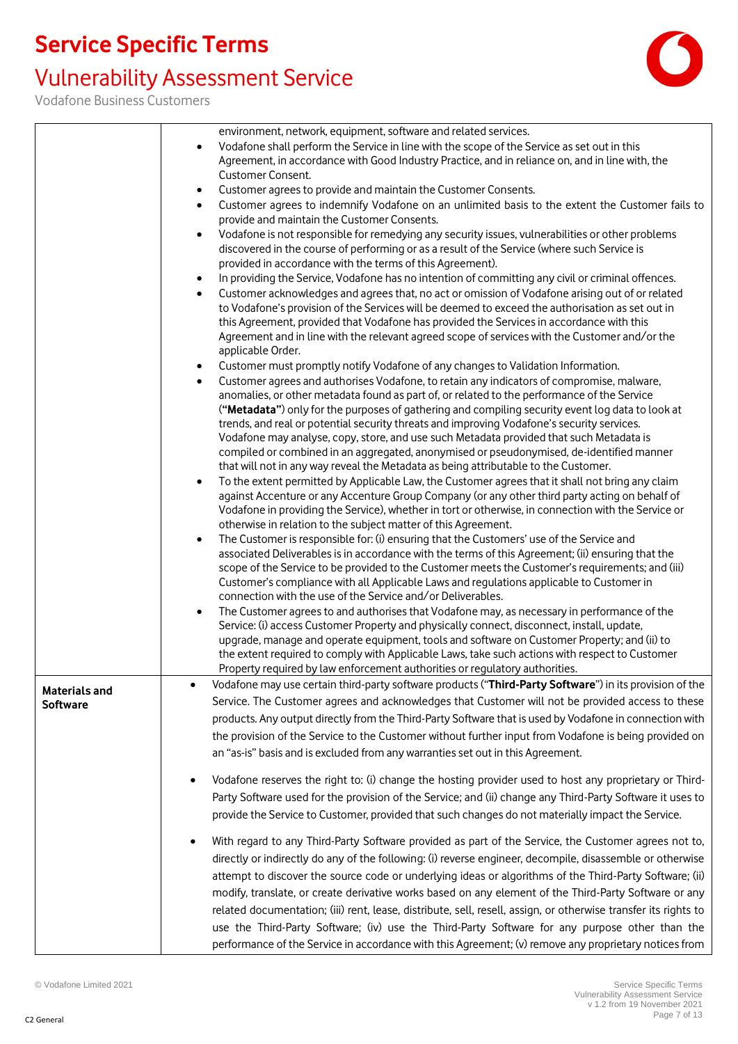## Vulnerability Assessment Service



|                      | environment, network, equipment, software and related services.                                                                                                                                                                                                                                                                                                                                                                                                              |
|----------------------|------------------------------------------------------------------------------------------------------------------------------------------------------------------------------------------------------------------------------------------------------------------------------------------------------------------------------------------------------------------------------------------------------------------------------------------------------------------------------|
|                      | Vodafone shall perform the Service in line with the scope of the Service as set out in this<br>$\bullet$                                                                                                                                                                                                                                                                                                                                                                     |
|                      | Agreement, in accordance with Good Industry Practice, and in reliance on, and in line with, the<br>Customer Consent.                                                                                                                                                                                                                                                                                                                                                         |
|                      |                                                                                                                                                                                                                                                                                                                                                                                                                                                                              |
|                      | Customer agrees to provide and maintain the Customer Consents.<br>$\bullet$                                                                                                                                                                                                                                                                                                                                                                                                  |
|                      | Customer agrees to indemnify Vodafone on an unlimited basis to the extent the Customer fails to<br>$\bullet$<br>provide and maintain the Customer Consents.                                                                                                                                                                                                                                                                                                                  |
|                      | Vodafone is not responsible for remedying any security issues, vulnerabilities or other problems<br>$\bullet$<br>discovered in the course of performing or as a result of the Service (where such Service is<br>provided in accordance with the terms of this Agreement).                                                                                                                                                                                                    |
|                      | In providing the Service, Vodafone has no intention of committing any civil or criminal offences.<br>$\bullet$                                                                                                                                                                                                                                                                                                                                                               |
|                      | Customer acknowledges and agrees that, no act or omission of Vodafone arising out of or related<br>$\bullet$<br>to Vodafone's provision of the Services will be deemed to exceed the authorisation as set out in<br>this Agreement, provided that Vodafone has provided the Services in accordance with this<br>Agreement and in line with the relevant agreed scope of services with the Customer and/or the<br>applicable Order.                                           |
|                      | Customer must promptly notify Vodafone of any changes to Validation Information.<br>٠                                                                                                                                                                                                                                                                                                                                                                                        |
|                      | Customer agrees and authorises Vodafone, to retain any indicators of compromise, malware,<br>$\bullet$                                                                                                                                                                                                                                                                                                                                                                       |
|                      | anomalies, or other metadata found as part of, or related to the performance of the Service                                                                                                                                                                                                                                                                                                                                                                                  |
|                      | ("Metadata") only for the purposes of gathering and compiling security event log data to look at<br>trends, and real or potential security threats and improving Vodafone's security services.<br>Vodafone may analyse, copy, store, and use such Metadata provided that such Metadata is<br>compiled or combined in an aggregated, anonymised or pseudonymised, de-identified manner<br>that will not in any way reveal the Metadata as being attributable to the Customer. |
|                      | To the extent permitted by Applicable Law, the Customer agrees that it shall not bring any claim<br>$\bullet$                                                                                                                                                                                                                                                                                                                                                                |
|                      | against Accenture or any Accenture Group Company (or any other third party acting on behalf of<br>Vodafone in providing the Service), whether in tort or otherwise, in connection with the Service or<br>otherwise in relation to the subject matter of this Agreement.                                                                                                                                                                                                      |
|                      | The Customer is responsible for: (i) ensuring that the Customers' use of the Service and<br>$\bullet$                                                                                                                                                                                                                                                                                                                                                                        |
|                      | associated Deliverables is in accordance with the terms of this Agreement; (ii) ensuring that the<br>scope of the Service to be provided to the Customer meets the Customer's requirements; and (iii)                                                                                                                                                                                                                                                                        |
|                      | Customer's compliance with all Applicable Laws and regulations applicable to Customer in<br>connection with the use of the Service and/or Deliverables.                                                                                                                                                                                                                                                                                                                      |
|                      | The Customer agrees to and authorises that Vodafone may, as necessary in performance of the<br>$\bullet$                                                                                                                                                                                                                                                                                                                                                                     |
|                      | Service: (i) access Customer Property and physically connect, disconnect, install, update,                                                                                                                                                                                                                                                                                                                                                                                   |
|                      | upgrade, manage and operate equipment, tools and software on Customer Property; and (ii) to                                                                                                                                                                                                                                                                                                                                                                                  |
|                      | the extent required to comply with Applicable Laws, take such actions with respect to Customer                                                                                                                                                                                                                                                                                                                                                                               |
|                      | Property required by law enforcement authorities or regulatory authorities.                                                                                                                                                                                                                                                                                                                                                                                                  |
|                      | Vodafone may use certain third-party software products ("Third-Party Software") in its provision of the                                                                                                                                                                                                                                                                                                                                                                      |
| <b>Materials and</b> | Service. The Customer agrees and acknowledges that Customer will not be provided access to these                                                                                                                                                                                                                                                                                                                                                                             |
| <b>Software</b>      |                                                                                                                                                                                                                                                                                                                                                                                                                                                                              |
|                      | products. Any output directly from the Third-Party Software that is used by Vodafone in connection with                                                                                                                                                                                                                                                                                                                                                                      |
|                      | the provision of the Service to the Customer without further input from Vodafone is being provided on                                                                                                                                                                                                                                                                                                                                                                        |
|                      | an "as-is" basis and is excluded from any warranties set out in this Agreement.                                                                                                                                                                                                                                                                                                                                                                                              |
|                      | Vodafone reserves the right to: (i) change the hosting provider used to host any proprietary or Third-<br>$\bullet$                                                                                                                                                                                                                                                                                                                                                          |
|                      | Party Software used for the provision of the Service; and (ii) change any Third-Party Software it uses to                                                                                                                                                                                                                                                                                                                                                                    |
|                      | provide the Service to Customer, provided that such changes do not materially impact the Service.                                                                                                                                                                                                                                                                                                                                                                            |
|                      |                                                                                                                                                                                                                                                                                                                                                                                                                                                                              |
|                      | With regard to any Third-Party Software provided as part of the Service, the Customer agrees not to,<br>$\bullet$                                                                                                                                                                                                                                                                                                                                                            |
|                      | directly or indirectly do any of the following: (i) reverse engineer, decompile, disassemble or otherwise                                                                                                                                                                                                                                                                                                                                                                    |
|                      | attempt to discover the source code or underlying ideas or algorithms of the Third-Party Software; (ii)                                                                                                                                                                                                                                                                                                                                                                      |
|                      | modify, translate, or create derivative works based on any element of the Third-Party Software or any                                                                                                                                                                                                                                                                                                                                                                        |
|                      | related documentation; (iii) rent, lease, distribute, sell, resell, assign, or otherwise transfer its rights to                                                                                                                                                                                                                                                                                                                                                              |
|                      | use the Third-Party Software; (iv) use the Third-Party Software for any purpose other than the                                                                                                                                                                                                                                                                                                                                                                               |
|                      | performance of the Service in accordance with this Agreement; (v) remove any proprietary notices from                                                                                                                                                                                                                                                                                                                                                                        |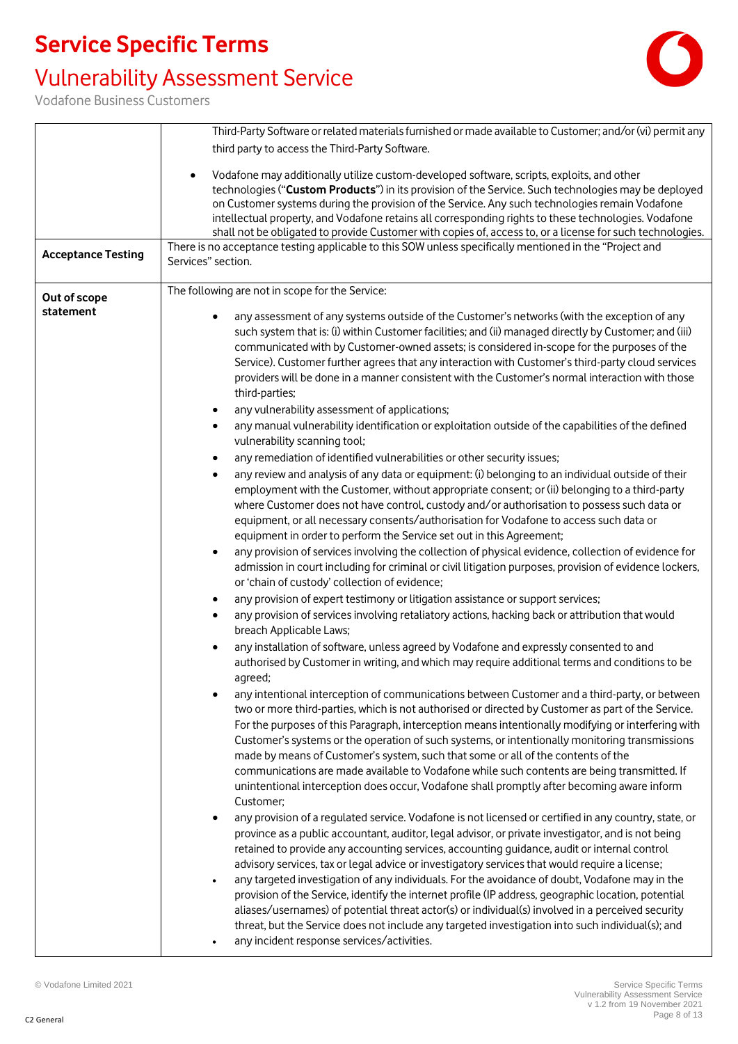## Vulnerability Assessment Service



|                           | Third-Party Software or related materials furnished or made available to Customer; and/or (vi) permit any<br>third party to access the Third-Party Software.                                                                                                                                                                                                                                                                                                                                                                                                                                                                                                                                                                                                                                                                                                                                                                                                                                                                                                                                                                                                                                                                                                                                                                                                                                                                                                                                                                                                                                                                                                                                                                                                                                                                                                                                                                                                                                                                                                                                                                                                                                                                                                                                                                                                                                                                                                                                                                                                                                                                                                                                                                                                                                                                                                                                                                                                                                                                                                                                                                                                                                                                                                                                                                                                                                                                                                                                                                                                                                                                                                |
|---------------------------|-------------------------------------------------------------------------------------------------------------------------------------------------------------------------------------------------------------------------------------------------------------------------------------------------------------------------------------------------------------------------------------------------------------------------------------------------------------------------------------------------------------------------------------------------------------------------------------------------------------------------------------------------------------------------------------------------------------------------------------------------------------------------------------------------------------------------------------------------------------------------------------------------------------------------------------------------------------------------------------------------------------------------------------------------------------------------------------------------------------------------------------------------------------------------------------------------------------------------------------------------------------------------------------------------------------------------------------------------------------------------------------------------------------------------------------------------------------------------------------------------------------------------------------------------------------------------------------------------------------------------------------------------------------------------------------------------------------------------------------------------------------------------------------------------------------------------------------------------------------------------------------------------------------------------------------------------------------------------------------------------------------------------------------------------------------------------------------------------------------------------------------------------------------------------------------------------------------------------------------------------------------------------------------------------------------------------------------------------------------------------------------------------------------------------------------------------------------------------------------------------------------------------------------------------------------------------------------------------------------------------------------------------------------------------------------------------------------------------------------------------------------------------------------------------------------------------------------------------------------------------------------------------------------------------------------------------------------------------------------------------------------------------------------------------------------------------------------------------------------------------------------------------------------------------------------------------------------------------------------------------------------------------------------------------------------------------------------------------------------------------------------------------------------------------------------------------------------------------------------------------------------------------------------------------------------------------------------------------------------------------------------------------------------|
|                           | Vodafone may additionally utilize custom-developed software, scripts, exploits, and other<br>$\bullet$<br>technologies ("Custom Products") in its provision of the Service. Such technologies may be deployed<br>on Customer systems during the provision of the Service. Any such technologies remain Vodafone<br>intellectual property, and Vodafone retains all corresponding rights to these technologies. Vodafone<br>shall not be obligated to provide Customer with copies of, access to, or a license for such technologies.<br>There is no acceptance testing applicable to this SOW unless specifically mentioned in the "Project and                                                                                                                                                                                                                                                                                                                                                                                                                                                                                                                                                                                                                                                                                                                                                                                                                                                                                                                                                                                                                                                                                                                                                                                                                                                                                                                                                                                                                                                                                                                                                                                                                                                                                                                                                                                                                                                                                                                                                                                                                                                                                                                                                                                                                                                                                                                                                                                                                                                                                                                                                                                                                                                                                                                                                                                                                                                                                                                                                                                                             |
| <b>Acceptance Testing</b> | Services" section.                                                                                                                                                                                                                                                                                                                                                                                                                                                                                                                                                                                                                                                                                                                                                                                                                                                                                                                                                                                                                                                                                                                                                                                                                                                                                                                                                                                                                                                                                                                                                                                                                                                                                                                                                                                                                                                                                                                                                                                                                                                                                                                                                                                                                                                                                                                                                                                                                                                                                                                                                                                                                                                                                                                                                                                                                                                                                                                                                                                                                                                                                                                                                                                                                                                                                                                                                                                                                                                                                                                                                                                                                                          |
| Out of scope<br>statement | The following are not in scope for the Service:<br>any assessment of any systems outside of the Customer's networks (with the exception of any<br>such system that is: (i) within Customer facilities; and (ii) managed directly by Customer; and (iii)<br>communicated with by Customer-owned assets; is considered in-scope for the purposes of the<br>Service). Customer further agrees that any interaction with Customer's third-party cloud services<br>providers will be done in a manner consistent with the Customer's normal interaction with those<br>third-parties;<br>any vulnerability assessment of applications;<br>$\bullet$<br>any manual vulnerability identification or exploitation outside of the capabilities of the defined<br>$\bullet$<br>vulnerability scanning tool;<br>any remediation of identified vulnerabilities or other security issues;<br>$\bullet$<br>any review and analysis of any data or equipment: (i) belonging to an individual outside of their<br>$\bullet$<br>employment with the Customer, without appropriate consent; or (ii) belonging to a third-party<br>where Customer does not have control, custody and/or authorisation to possess such data or<br>equipment, or all necessary consents/authorisation for Vodafone to access such data or<br>equipment in order to perform the Service set out in this Agreement;<br>any provision of services involving the collection of physical evidence, collection of evidence for<br>$\bullet$<br>admission in court including for criminal or civil litigation purposes, provision of evidence lockers,<br>or 'chain of custody' collection of evidence;<br>any provision of expert testimony or litigation assistance or support services;<br>$\bullet$<br>any provision of services involving retaliatory actions, hacking back or attribution that would<br>$\bullet$<br>breach Applicable Laws;<br>any installation of software, unless agreed by Vodafone and expressly consented to and<br>authorised by Customer in writing, and which may require additional terms and conditions to be<br>agreed;<br>any intentional interception of communications between Customer and a third-party, or between<br>two or more third-parties, which is not authorised or directed by Customer as part of the Service.<br>For the purposes of this Paragraph, interception means intentionally modifying or interfering with<br>Customer's systems or the operation of such systems, or intentionally monitoring transmissions<br>made by means of Customer's system, such that some or all of the contents of the<br>communications are made available to Vodafone while such contents are being transmitted. If<br>unintentional interception does occur, Vodafone shall promptly after becoming aware inform<br>Customer;<br>any provision of a regulated service. Vodafone is not licensed or certified in any country, state, or<br>province as a public accountant, auditor, legal advisor, or private investigator, and is not being<br>retained to provide any accounting services, accounting guidance, audit or internal control<br>advisory services, tax or legal advice or investigatory services that would require a license;<br>any targeted investigation of any individuals. For the avoidance of doubt, Vodafone may in the<br>provision of the Service, identify the internet profile (IP address, geographic location, potential<br>aliases/usernames) of potential threat actor(s) or individual(s) involved in a perceived security<br>threat, but the Service does not include any targeted investigation into such individual(s); and |
|                           | any incident response services/activities.                                                                                                                                                                                                                                                                                                                                                                                                                                                                                                                                                                                                                                                                                                                                                                                                                                                                                                                                                                                                                                                                                                                                                                                                                                                                                                                                                                                                                                                                                                                                                                                                                                                                                                                                                                                                                                                                                                                                                                                                                                                                                                                                                                                                                                                                                                                                                                                                                                                                                                                                                                                                                                                                                                                                                                                                                                                                                                                                                                                                                                                                                                                                                                                                                                                                                                                                                                                                                                                                                                                                                                                                                  |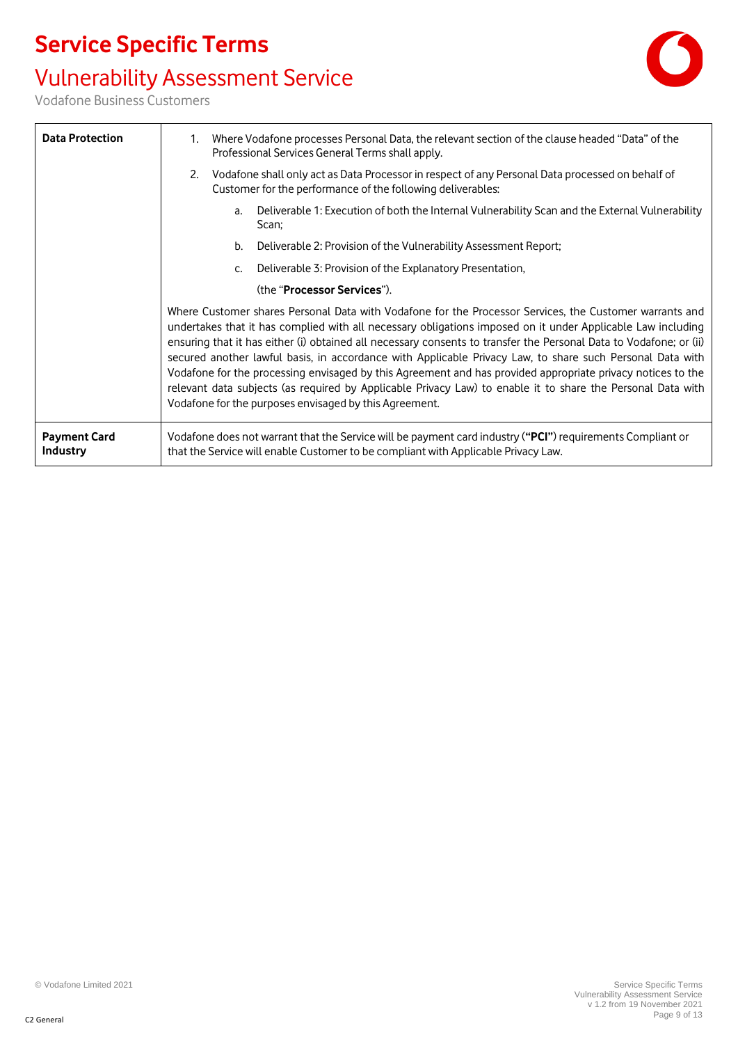# Vulnerability Assessment Service





| <b>Data Protection</b>          | Where Vodafone processes Personal Data, the relevant section of the clause headed "Data" of the<br>$1_{\cdot}$<br>Professional Services General Terms shall apply.                                                                                                                                                                                                                                                                                                                                                                                                                                                                                                                                                                                |  |
|---------------------------------|---------------------------------------------------------------------------------------------------------------------------------------------------------------------------------------------------------------------------------------------------------------------------------------------------------------------------------------------------------------------------------------------------------------------------------------------------------------------------------------------------------------------------------------------------------------------------------------------------------------------------------------------------------------------------------------------------------------------------------------------------|--|
|                                 | Vodafone shall only act as Data Processor in respect of any Personal Data processed on behalf of<br>2.<br>Customer for the performance of the following deliverables:                                                                                                                                                                                                                                                                                                                                                                                                                                                                                                                                                                             |  |
|                                 | Deliverable 1: Execution of both the Internal Vulnerability Scan and the External Vulnerability<br>a.<br>Scan;                                                                                                                                                                                                                                                                                                                                                                                                                                                                                                                                                                                                                                    |  |
|                                 | Deliverable 2: Provision of the Vulnerability Assessment Report;<br>b.                                                                                                                                                                                                                                                                                                                                                                                                                                                                                                                                                                                                                                                                            |  |
|                                 | Deliverable 3: Provision of the Explanatory Presentation,<br>C.                                                                                                                                                                                                                                                                                                                                                                                                                                                                                                                                                                                                                                                                                   |  |
|                                 | (the "Processor Services").                                                                                                                                                                                                                                                                                                                                                                                                                                                                                                                                                                                                                                                                                                                       |  |
|                                 | Where Customer shares Personal Data with Vodafone for the Processor Services, the Customer warrants and<br>undertakes that it has complied with all necessary obligations imposed on it under Applicable Law including<br>ensuring that it has either (i) obtained all necessary consents to transfer the Personal Data to Vodafone; or (ii)<br>secured another lawful basis, in accordance with Applicable Privacy Law, to share such Personal Data with<br>Vodafone for the processing envisaged by this Agreement and has provided appropriate privacy notices to the<br>relevant data subjects (as required by Applicable Privacy Law) to enable it to share the Personal Data with<br>Vodafone for the purposes envisaged by this Agreement. |  |
| <b>Payment Card</b><br>Industry | Vodafone does not warrant that the Service will be payment card industry ("PCI") requirements Compliant or<br>that the Service will enable Customer to be compliant with Applicable Privacy Law.                                                                                                                                                                                                                                                                                                                                                                                                                                                                                                                                                  |  |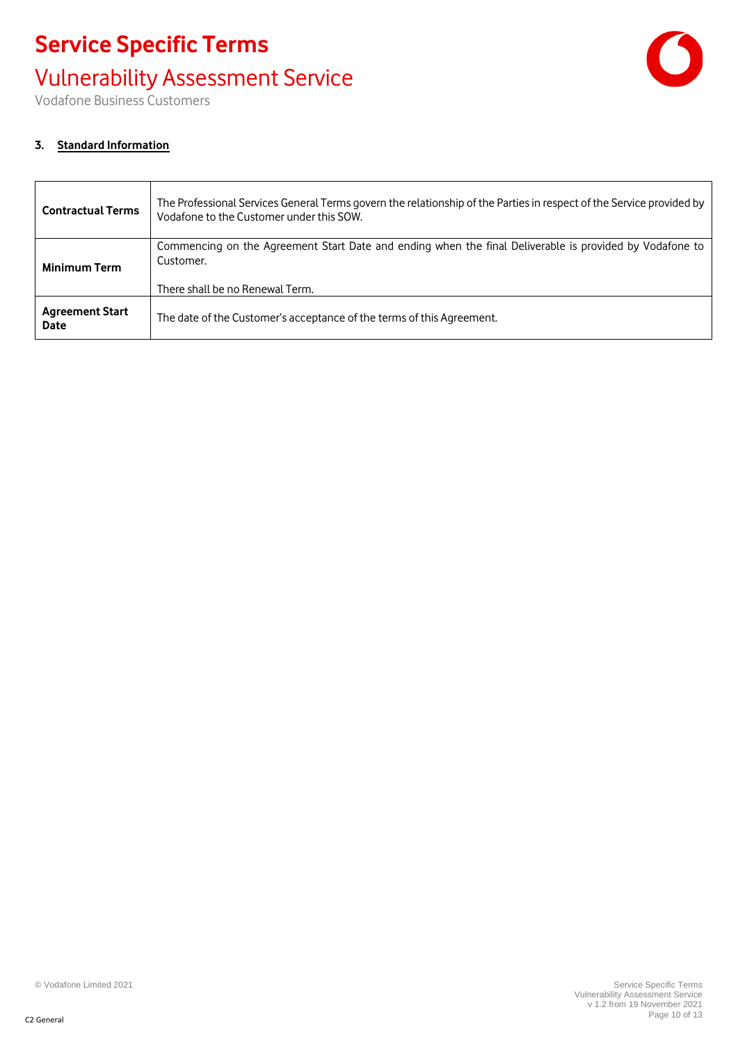# **Service Specific Terms** Vulnerability Assessment Service



Vodafone Business Customers

#### **3. Standard Information**

| <b>Contractual Terms</b>              | The Professional Services General Terms govern the relationship of the Parties in respect of the Service provided by<br>Vodafone to the Customer under this SOW. |
|---------------------------------------|------------------------------------------------------------------------------------------------------------------------------------------------------------------|
| <b>Minimum Term</b>                   | Commencing on the Agreement Start Date and ending when the final Deliverable is provided by Vodafone to<br>Customer.<br>There shall be no Renewal Term.          |
| <b>Agreement Start</b><br><b>Date</b> | The date of the Customer's acceptance of the terms of this Agreement.                                                                                            |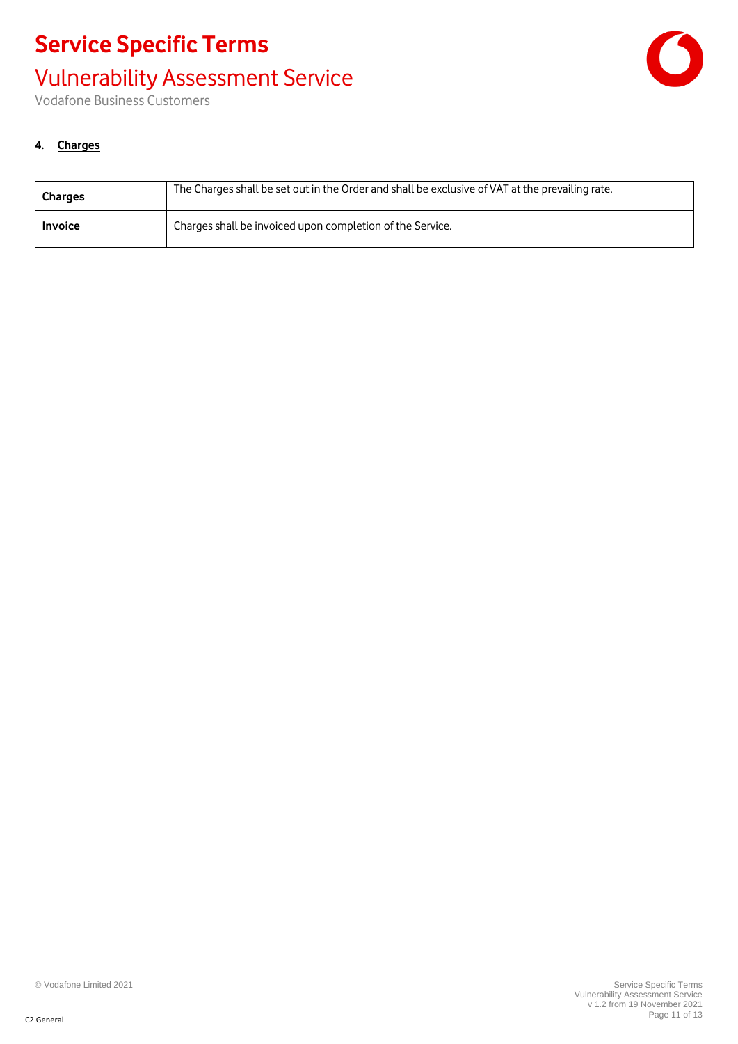# **Service Specific Terms** Vulnerability Assessment Service



Vodafone Business Customers

#### **4. Charges**

| <b>Charges</b> | The Charges shall be set out in the Order and shall be exclusive of VAT at the prevailing rate. |
|----------------|-------------------------------------------------------------------------------------------------|
| <b>Invoice</b> | Charges shall be invoiced upon completion of the Service.                                       |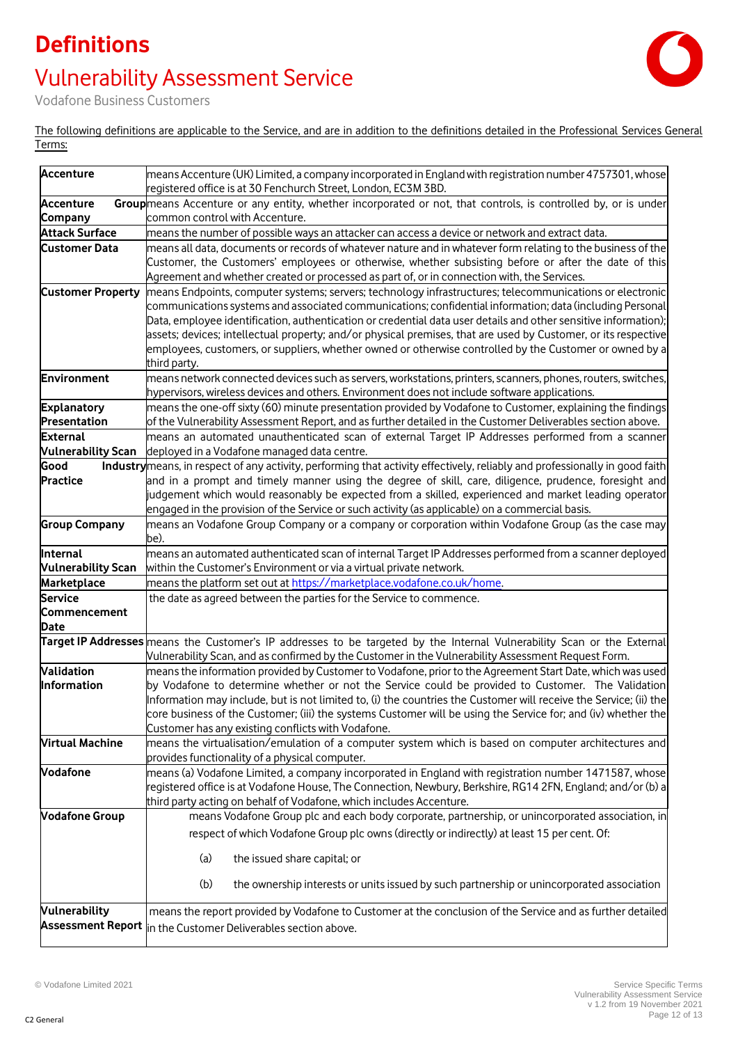# **Definitions** Vulnerability Assessment Service



Vodafone Business Customers

The following definitions are applicable to the Service, and are in addition to the definitions detailed in the Professional Services General Terms:

| <b>Accenture</b>                       | means Accenture (UK) Limited, a company incorporated in England with registration number 4757301, whose<br>registered office is at 30 Fenchurch Street, London, EC3M 3BD.                                                                                                                                                                                                                                                                                                                                                                                                            |
|----------------------------------------|--------------------------------------------------------------------------------------------------------------------------------------------------------------------------------------------------------------------------------------------------------------------------------------------------------------------------------------------------------------------------------------------------------------------------------------------------------------------------------------------------------------------------------------------------------------------------------------|
| <b>Accenture</b>                       | Groupmeans Accenture or any entity, whether incorporated or not, that controls, is controlled by, or is under                                                                                                                                                                                                                                                                                                                                                                                                                                                                        |
| Company                                | common control with Accenture.                                                                                                                                                                                                                                                                                                                                                                                                                                                                                                                                                       |
| <b>Attack Surface</b>                  | means the number of possible ways an attacker can access a device or network and extract data.                                                                                                                                                                                                                                                                                                                                                                                                                                                                                       |
| <b>Customer Data</b>                   | means all data, documents or records of whatever nature and in whatever form relating to the business of the<br>Customer, the Customers' employees or otherwise, whether subsisting before or after the date of this<br>Agreement and whether created or processed as part of, or in connection with, the Services.                                                                                                                                                                                                                                                                  |
| <b>Customer Property</b>               | means Endpoints, computer systems; servers; technology infrastructures; telecommunications or electronic<br>communications systems and associated communications; confidential information; data (including Personal<br>Data, employee identification, authentication or credential data user details and other sensitive information);<br>assets; devices; intellectual property; and/or physical premises, that are used by Customer, or its respective<br>employees, customers, or suppliers, whether owned or otherwise controlled by the Customer or owned by a<br>third party. |
| Environment                            | means network connected devices such as servers, workstations, printers, scanners, phones, routers, switches,<br>hypervisors, wireless devices and others. Environment does not include software applications.                                                                                                                                                                                                                                                                                                                                                                       |
| <b>Explanatory</b>                     | means the one-off sixty (60) minute presentation provided by Vodafone to Customer, explaining the findings                                                                                                                                                                                                                                                                                                                                                                                                                                                                           |
| Presentation                           | of the Vulnerability Assessment Report, and as further detailed in the Customer Deliverables section above.                                                                                                                                                                                                                                                                                                                                                                                                                                                                          |
| <b>External</b>                        | means an automated unauthenticated scan of external Target IP Addresses performed from a scanner                                                                                                                                                                                                                                                                                                                                                                                                                                                                                     |
| <b>Vulnerability Scan</b>              | deployed in a Vodafone managed data centre.                                                                                                                                                                                                                                                                                                                                                                                                                                                                                                                                          |
| Good                                   | Industry means, in respect of any activity, performing that activity effectively, reliably and professionally in good faith                                                                                                                                                                                                                                                                                                                                                                                                                                                          |
| <b>Practice</b>                        | and in a prompt and timely manner using the degree of skill, care, diligence, prudence, foresight and<br>judgement which would reasonably be expected from a skilled, experienced and market leading operator<br>engaged in the provision of the Service or such activity (as applicable) on a commercial basis.                                                                                                                                                                                                                                                                     |
| <b>Group Company</b>                   | means an Vodafone Group Company or a company or corporation within Vodafone Group (as the case may                                                                                                                                                                                                                                                                                                                                                                                                                                                                                   |
|                                        | be).                                                                                                                                                                                                                                                                                                                                                                                                                                                                                                                                                                                 |
| Internal                               | means an automated authenticated scan of internal Target IP Addresses performed from a scanner deployed                                                                                                                                                                                                                                                                                                                                                                                                                                                                              |
| <b>Vulnerability Scan</b>              | within the Customer's Environment or via a virtual private network.                                                                                                                                                                                                                                                                                                                                                                                                                                                                                                                  |
|                                        |                                                                                                                                                                                                                                                                                                                                                                                                                                                                                                                                                                                      |
| Marketplace                            | means the platform set out at https://marketplace.vodafone.co.uk/home.                                                                                                                                                                                                                                                                                                                                                                                                                                                                                                               |
| Service<br>Commencement<br><b>Date</b> | the date as agreed between the parties for the Service to commence.                                                                                                                                                                                                                                                                                                                                                                                                                                                                                                                  |
|                                        | Target IP Addresses means the Customer's IP addresses to be targeted by the Internal Vulnerability Scan or the External<br>Mulnerability Scan, and as confirmed by the Customer in the Vulnerability Assessment Request Form.                                                                                                                                                                                                                                                                                                                                                        |
| Validation                             | means the information provided by Customer to Vodafone, prior to the Agreement Start Date, which was used                                                                                                                                                                                                                                                                                                                                                                                                                                                                            |
| Information                            | by Vodafone to determine whether or not the Service could be provided to Customer. The Validation                                                                                                                                                                                                                                                                                                                                                                                                                                                                                    |
|                                        | Information may include, but is not limited to, (i) the countries the Customer will receive the Service; (ii) the                                                                                                                                                                                                                                                                                                                                                                                                                                                                    |
|                                        | core business of the Customer; (iii) the systems Customer will be using the Service for; and (iv) whether the                                                                                                                                                                                                                                                                                                                                                                                                                                                                        |
|                                        | Customer has any existing conflicts with Vodafone.                                                                                                                                                                                                                                                                                                                                                                                                                                                                                                                                   |
| <b>Virtual Machine</b>                 | means the virtualisation/emulation of a computer system which is based on computer architectures and                                                                                                                                                                                                                                                                                                                                                                                                                                                                                 |
|                                        | provides functionality of a physical computer.                                                                                                                                                                                                                                                                                                                                                                                                                                                                                                                                       |
| Vodafone                               | means (a) Vodafone Limited, a company incorporated in England with registration number 1471587, whose<br>registered office is at Vodafone House, The Connection, Newbury, Berkshire, RG14 2FN, England; and/or (b) a<br>third party acting on behalf of Vodafone, which includes Accenture.                                                                                                                                                                                                                                                                                          |
| <b>Vodafone Group</b>                  | means Vodafone Group plc and each body corporate, partnership, or unincorporated association, in                                                                                                                                                                                                                                                                                                                                                                                                                                                                                     |
|                                        | respect of which Vodafone Group plc owns (directly or indirectly) at least 15 per cent. Of:                                                                                                                                                                                                                                                                                                                                                                                                                                                                                          |
|                                        | (a)<br>the issued share capital; or                                                                                                                                                                                                                                                                                                                                                                                                                                                                                                                                                  |
|                                        | (b)<br>the ownership interests or units issued by such partnership or unincorporated association                                                                                                                                                                                                                                                                                                                                                                                                                                                                                     |
| Vulnerability                          | means the report provided by Vodafone to Customer at the conclusion of the Service and as further detailed                                                                                                                                                                                                                                                                                                                                                                                                                                                                           |
| <b>Assessment Report</b>               | in the Customer Deliverables section above.                                                                                                                                                                                                                                                                                                                                                                                                                                                                                                                                          |